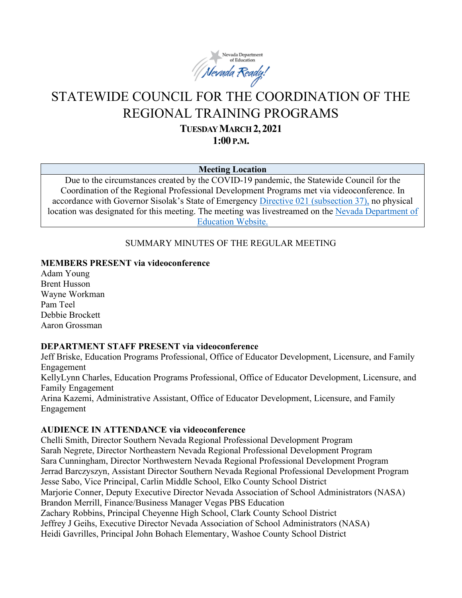

# STATEWIDE COUNCIL FOR THE COORDINATION OF THE REGIONAL TRAINING PROGRAMS

**TUESDAY MARCH 2,2021**

**1:00 P.M.**

#### **Meeting Location**

Due to the circumstances created by the COVID-19 pandemic, the Statewide Council for the Coordination of the Regional Professional Development Programs met via videoconference. In accordance with Governor Sisolak's State of Emergency [Directive 021 \(subsection 37\),](http://gov.nv.gov/News/Emergency_Orders/2020/2020-05-28_-_COVID-19_Declaration_of_Emergency_Directive_021_-_Phase_Two_Reopening_Plan_(Attachments)/) no physical location was designated for this meeting. The meeting was livestreamed on the [Nevada Department of](http://www.doe.nv.gov/Boards_Commissions_Councils/Statewide_Council_Reg_Training/Statewide_Council_for_the_Coordination_of_Regional_Training_Programs/)  [Education Website.](http://www.doe.nv.gov/Boards_Commissions_Councils/Statewide_Council_Reg_Training/Statewide_Council_for_the_Coordination_of_Regional_Training_Programs/)

## SUMMARY MINUTES OF THE REGULAR MEETING

#### **MEMBERS PRESENT via videoconference**

Adam Young Brent Husson Wayne Workman Pam Teel Debbie Brockett Aaron Grossman

## **DEPARTMENT STAFF PRESENT via videoconference**

Jeff Briske, Education Programs Professional, Office of Educator Development, Licensure, and Family Engagement KellyLynn Charles, Education Programs Professional, Office of Educator Development, Licensure, and Family Engagement Arina Kazemi, Administrative Assistant, Office of Educator Development, Licensure, and Family Engagement

## **AUDIENCE IN ATTENDANCE via videoconference**

Chelli Smith, Director Southern Nevada Regional Professional Development Program Sarah Negrete, Director Northeastern Nevada Regional Professional Development Program Sara Cunningham, Director Northwestern Nevada Regional Professional Development Program Jerrad Barczyszyn, Assistant Director Southern Nevada Regional Professional Development Program Jesse Sabo, Vice Principal, Carlin Middle School, Elko County School District Marjorie Conner, Deputy Executive Director Nevada Association of School Administrators (NASA) Brandon Merrill, Finance/Business Manager Vegas PBS Education Zachary Robbins, Principal Cheyenne High School, Clark County School District Jeffrey J Geihs, Executive Director Nevada Association of School Administrators (NASA) Heidi Gavrilles, Principal John Bohach Elementary, Washoe County School District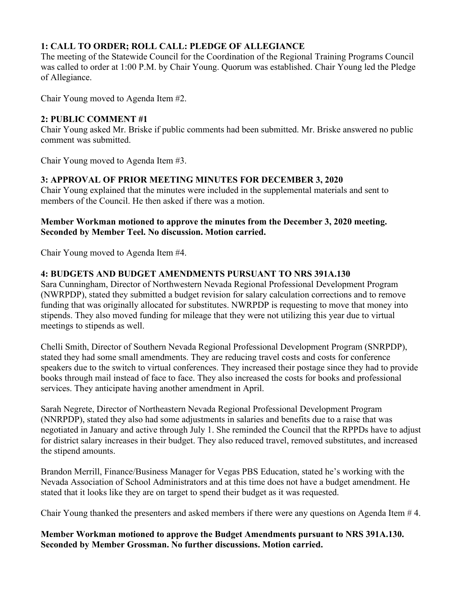# **1: CALL TO ORDER; ROLL CALL: PLEDGE OF ALLEGIANCE**

The meeting of the Statewide Council for the Coordination of the Regional Training Programs Council was called to order at 1:00 P.M. by Chair Young. Quorum was established. Chair Young led the Pledge of Allegiance.

Chair Young moved to Agenda Item #2.

## **2: PUBLIC COMMENT #1**

Chair Young asked Mr. Briske if public comments had been submitted. Mr. Briske answered no public comment was submitted.

Chair Young moved to Agenda Item #3.

# **3: APPROVAL OF PRIOR MEETING MINUTES FOR DECEMBER 3, 2020**

Chair Young explained that the minutes were included in the supplemental materials and sent to members of the Council. He then asked if there was a motion.

#### **Member Workman motioned to approve the minutes from the December 3, 2020 meeting. Seconded by Member Teel. No discussion. Motion carried.**

Chair Young moved to Agenda Item #4.

# **4: BUDGETS AND BUDGET AMENDMENTS PURSUANT TO NRS 391A.130**

Sara Cunningham, Director of Northwestern Nevada Regional Professional Development Program (NWRPDP), stated they submitted a budget revision for salary calculation corrections and to remove funding that was originally allocated for substitutes. NWRPDP is requesting to move that money into stipends. They also moved funding for mileage that they were not utilizing this year due to virtual meetings to stipends as well.

Chelli Smith, Director of Southern Nevada Regional Professional Development Program (SNRPDP), stated they had some small amendments. They are reducing travel costs and costs for conference speakers due to the switch to virtual conferences. They increased their postage since they had to provide books through mail instead of face to face. They also increased the costs for books and professional services. They anticipate having another amendment in April.

Sarah Negrete, Director of Northeastern Nevada Regional Professional Development Program (NNRPDP), stated they also had some adjustments in salaries and benefits due to a raise that was negotiated in January and active through July 1. She reminded the Council that the RPPDs have to adjust for district salary increases in their budget. They also reduced travel, removed substitutes, and increased the stipend amounts.

Brandon Merrill, Finance/Business Manager for Vegas PBS Education, stated he's working with the Nevada Association of School Administrators and at this time does not have a budget amendment. He stated that it looks like they are on target to spend their budget as it was requested.

Chair Young thanked the presenters and asked members if there were any questions on Agenda Item # 4.

**Member Workman motioned to approve the Budget Amendments pursuant to NRS 391A.130. Seconded by Member Grossman. No further discussions. Motion carried.**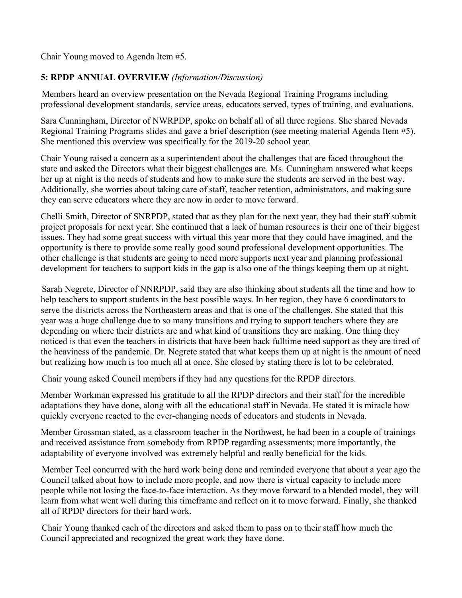Chair Young moved to Agenda Item #5.

# **5: RPDP ANNUAL OVERVIEW** *(Information/Discussion)*

Members heard an overview presentation on the Nevada Regional Training Programs including professional development standards, service areas, educators served, types of training, and evaluations.

Sara Cunningham, Director of NWRPDP, spoke on behalf all of all three regions. She shared Nevada Regional Training Programs slides and gave a brief description (see meeting material Agenda Item #5). She mentioned this overview was specifically for the 2019-20 school year.

Chair Young raised a concern as a superintendent about the challenges that are faced throughout the state and asked the Directors what their biggest challenges are. Ms. Cunningham answered what keeps her up at night is the needs of students and how to make sure the students are served in the best way. Additionally, she worries about taking care of staff, teacher retention, administrators, and making sure they can serve educators where they are now in order to move forward.

Chelli Smith, Director of SNRPDP, stated that as they plan for the next year, they had their staff submit project proposals for next year. She continued that a lack of human resources is their one of their biggest issues. They had some great success with virtual this year more that they could have imagined, and the opportunity is there to provide some really good sound professional development opportunities. The other challenge is that students are going to need more supports next year and planning professional development for teachers to support kids in the gap is also one of the things keeping them up at night.

Sarah Negrete, Director of NNRPDP, said they are also thinking about students all the time and how to help teachers to support students in the best possible ways. In her region, they have 6 coordinators to serve the districts across the Northeastern areas and that is one of the challenges. She stated that this year was a huge challenge due to so many transitions and trying to support teachers where they are depending on where their districts are and what kind of transitions they are making. One thing they noticed is that even the teachers in districts that have been back fulltime need support as they are tired of the heaviness of the pandemic. Dr. Negrete stated that what keeps them up at night is the amount of need but realizing how much is too much all at once. She closed by stating there is lot to be celebrated.

Chair young asked Council members if they had any questions for the RPDP directors.

Member Workman expressed his gratitude to all the RPDP directors and their staff for the incredible adaptations they have done, along with all the educational staff in Nevada. He stated it is miracle how quickly everyone reacted to the ever-changing needs of educators and students in Nevada.

Member Grossman stated, as a classroom teacher in the Northwest, he had been in a couple of trainings and received assistance from somebody from RPDP regarding assessments; more importantly, the adaptability of everyone involved was extremely helpful and really beneficial for the kids.

Member Teel concurred with the hard work being done and reminded everyone that about a year ago the Council talked about how to include more people, and now there is virtual capacity to include more people while not losing the face-to-face interaction. As they move forward to a blended model, they will learn from what went well during this timeframe and reflect on it to move forward. Finally, she thanked all of RPDP directors for their hard work.

Chair Young thanked each of the directors and asked them to pass on to their staff how much the Council appreciated and recognized the great work they have done.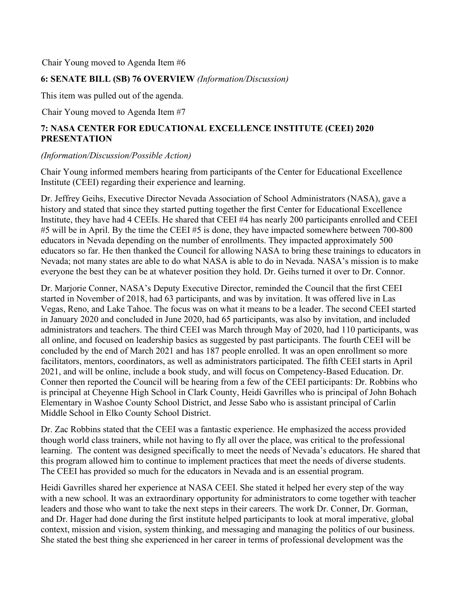Chair Young moved to Agenda Item #6

#### **6: SENATE BILL (SB) 76 OVERVIEW** *(Information/Discussion)*

This item was pulled out of the agenda.

Chair Young moved to Agenda Item #7

# **7: NASA CENTER FOR EDUCATIONAL EXCELLENCE INSTITUTE (CEEI) 2020 PRESENTATION**

#### *(Information/Discussion/Possible Action)*

Chair Young informed members hearing from participants of the Center for Educational Excellence Institute (CEEI) regarding their experience and learning.

Dr. Jeffrey Geihs, Executive Director Nevada Association of School Administrators (NASA), gave a history and stated that since they started putting together the first Center for Educational Excellence Institute, they have had 4 CEEIs. He shared that CEEI #4 has nearly 200 participants enrolled and CEEI #5 will be in April. By the time the CEEI #5 is done, they have impacted somewhere between 700-800 educators in Nevada depending on the number of enrollments. They impacted approximately 500 educators so far. He then thanked the Council for allowing NASA to bring these trainings to educators in Nevada; not many states are able to do what NASA is able to do in Nevada. NASA's mission is to make everyone the best they can be at whatever position they hold. Dr. Geihs turned it over to Dr. Connor.

Dr. Marjorie Conner, NASA's Deputy Executive Director, reminded the Council that the first CEEI started in November of 2018, had 63 participants, and was by invitation. It was offered live in Las Vegas, Reno, and Lake Tahoe. The focus was on what it means to be a leader. The second CEEI started in January 2020 and concluded in June 2020, had 65 participants, was also by invitation, and included administrators and teachers. The third CEEI was March through May of 2020, had 110 participants, was all online, and focused on leadership basics as suggested by past participants. The fourth CEEI will be concluded by the end of March 2021 and has 187 people enrolled. It was an open enrollment so more facilitators, mentors, coordinators, as well as administrators participated. The fifth CEEI starts in April 2021, and will be online, include a book study, and will focus on Competency-Based Education. Dr. Conner then reported the Council will be hearing from a few of the CEEI participants: Dr. Robbins who is principal at Cheyenne High School in Clark County, Heidi Gavrilles who is principal of John Bohach Elementary in Washoe County School District, and Jesse Sabo who is assistant principal of Carlin Middle School in Elko County School District.

Dr. Zac Robbins stated that the CEEI was a fantastic experience. He emphasized the access provided though world class trainers, while not having to fly all over the place, was critical to the professional learning. The content was designed specifically to meet the needs of Nevada's educators. He shared that this program allowed him to continue to implement practices that meet the needs of diverse students. The CEEI has provided so much for the educators in Nevada and is an essential program.

Heidi Gavrilles shared her experience at NASA CEEI. She stated it helped her every step of the way with a new school. It was an extraordinary opportunity for administrators to come together with teacher leaders and those who want to take the next steps in their careers. The work Dr. Conner, Dr. Gorman, and Dr. Hager had done during the first institute helped participants to look at moral imperative, global context, mission and vision, system thinking, and messaging and managing the politics of our business. She stated the best thing she experienced in her career in terms of professional development was the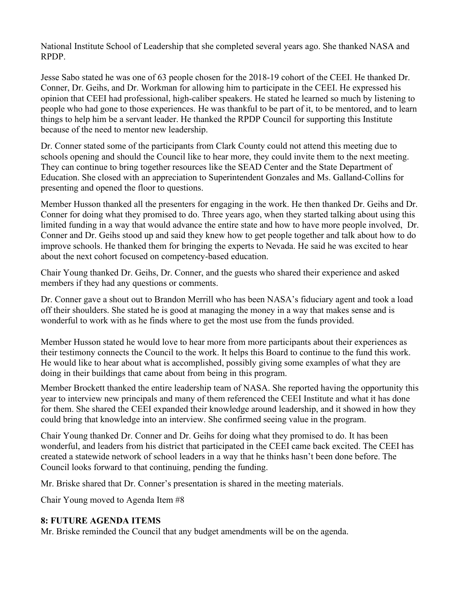National Institute School of Leadership that she completed several years ago. She thanked NASA and RPDP.

Jesse Sabo stated he was one of 63 people chosen for the 2018-19 cohort of the CEEI. He thanked Dr. Conner, Dr. Geihs, and Dr. Workman for allowing him to participate in the CEEI. He expressed his opinion that CEEI had professional, high-caliber speakers. He stated he learned so much by listening to people who had gone to those experiences. He was thankful to be part of it, to be mentored, and to learn things to help him be a servant leader. He thanked the RPDP Council for supporting this Institute because of the need to mentor new leadership.

Dr. Conner stated some of the participants from Clark County could not attend this meeting due to schools opening and should the Council like to hear more, they could invite them to the next meeting. They can continue to bring together resources like the SEAD Center and the State Department of Education. She closed with an appreciation to Superintendent Gonzales and Ms. Galland-Collins for presenting and opened the floor to questions.

Member Husson thanked all the presenters for engaging in the work. He then thanked Dr. Geihs and Dr. Conner for doing what they promised to do. Three years ago, when they started talking about using this limited funding in a way that would advance the entire state and how to have more people involved, Dr. Conner and Dr. Geihs stood up and said they knew how to get people together and talk about how to do improve schools. He thanked them for bringing the experts to Nevada. He said he was excited to hear about the next cohort focused on competency-based education.

Chair Young thanked Dr. Geihs, Dr. Conner, and the guests who shared their experience and asked members if they had any questions or comments.

Dr. Conner gave a shout out to Brandon Merrill who has been NASA's fiduciary agent and took a load off their shoulders. She stated he is good at managing the money in a way that makes sense and is wonderful to work with as he finds where to get the most use from the funds provided.

Member Husson stated he would love to hear more from more participants about their experiences as their testimony connects the Council to the work. It helps this Board to continue to the fund this work. He would like to hear about what is accomplished, possibly giving some examples of what they are doing in their buildings that came about from being in this program.

Member Brockett thanked the entire leadership team of NASA. She reported having the opportunity this year to interview new principals and many of them referenced the CEEI Institute and what it has done for them. She shared the CEEI expanded their knowledge around leadership, and it showed in how they could bring that knowledge into an interview. She confirmed seeing value in the program.

Chair Young thanked Dr. Conner and Dr. Geihs for doing what they promised to do. It has been wonderful, and leaders from his district that participated in the CEEI came back excited. The CEEI has created a statewide network of school leaders in a way that he thinks hasn't been done before. The Council looks forward to that continuing, pending the funding.

Mr. Briske shared that Dr. Conner's presentation is shared in the meeting materials.

Chair Young moved to Agenda Item #8

## **8: FUTURE AGENDA ITEMS**

Mr. Briske reminded the Council that any budget amendments will be on the agenda.